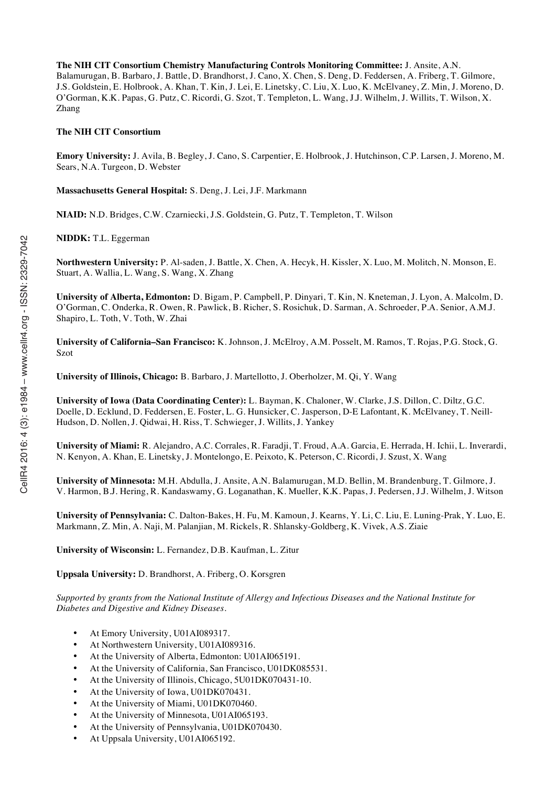**The NIH CIT Consortium Chemistry Manufacturing Controls Monitoring Committee:** J. Ansite, A.N. Balamurugan, B. Barbaro, J. Battle, D. Brandhorst, J. Cano, X. Chen, S. Deng, D. Feddersen, A. Friberg, T. Gilmore, J.S. Goldstein, E. Holbrook, A. Khan, T. Kin, J. Lei, E. Linetsky, C. Liu, X. Luo, K. McElvaney, Z. Min, J. Moreno, D. O'Gorman, K.K. Papas, G. Putz, C. Ricordi, G. Szot, T. Templeton, L. Wang, J.J. Wilhelm, J. Willits, T. Wilson, X. Zhang

#### **The NIH CIT Consortium**

**Emory University:** J. Avila, B. Begley, J. Cano, S. Carpentier, E. Holbrook, J. Hutchinson, C.P. Larsen, J. Moreno, M. Sears, N.A. Turgeon, D. Webster

**Massachusetts General Hospital:** S. Deng, J. Lei, J.F. Markmann

**NIAID:** N.D. Bridges, C.W. Czarniecki, J.S. Goldstein, G. Putz, T. Templeton, T. Wilson

**NIDDK:** T.L. Eggerman

**Northwestern University:** P. Al-saden, J. Battle, X. Chen, A. Hecyk, H. Kissler, X. Luo, M. Molitch, N. Monson, E. Stuart, A. Wallia, L. Wang, S. Wang, X. Zhang

**University of Alberta, Edmonton:** D. Bigam, P. Campbell, P. Dinyari, T. Kin, N. Kneteman, J. Lyon, A. Malcolm, D. O'Gorman, C. Onderka, R. Owen, R. Pawlick, B. Richer, S. Rosichuk, D. Sarman, A. Schroeder, P.A. Senior, A.M.J. Shapiro, L. Toth, V. Toth, W. Zhai

**University of California–San Francisco:** K. Johnson, J. McElroy, A.M. Posselt, M. Ramos, T. Rojas, P.G. Stock, G. Szot

**University of Illinois, Chicago:** B. Barbaro, J. Martellotto, J. Oberholzer, M. Qi, Y. Wang

**University of Iowa (Data Coordinating Center):** L. Bayman, K. Chaloner, W. Clarke, J.S. Dillon, C. Diltz, G.C. Doelle, D. Ecklund, D. Feddersen, E. Foster, L. G. Hunsicker, C. Jasperson, D-E Lafontant, K. McElvaney, T. Neill-Hudson, D. Nollen, J. Qidwai, H. Riss, T. Schwieger, J. Willits, J. Yankey

**University of Miami:** R. Alejandro, A.C. Corrales, R. Faradji, T. Froud, A.A. Garcia, E. Herrada, H. Ichii, L. Inverardi, N. Kenyon, A. Khan, E. Linetsky, J. Montelongo, E. Peixoto, K. Peterson, C. Ricordi, J. Szust, X. Wang

**University of Minnesota:** M.H. Abdulla, J. Ansite, A.N. Balamurugan, M.D. Bellin, M. Brandenburg, T. Gilmore, J. V. Harmon, B.J. Hering, R. Kandaswamy, G. Loganathan, K. Mueller, K.K. Papas, J. Pedersen, J.J. Wilhelm, J. Witson

**University of Pennsylvania:** C. Dalton-Bakes, H. Fu, M. Kamoun, J. Kearns, Y. Li, C. Liu, E. Luning-Prak, Y. Luo, E. Markmann, Z. Min, A. Naji, M. Palanjian, M. Rickels, R. Shlansky-Goldberg, K. Vivek, A.S. Ziaie

**University of Wisconsin:** L. Fernandez, D.B. Kaufman, L. Zitur

**Uppsala University:** D. Brandhorst, A. Friberg, O. Korsgren

*Supported by grants from the National Institute of Allergy and Infectious Diseases and the National Institute for Diabetes and Digestive and Kidney Diseases.*

- At Emory University, U01AI089317.
- At Northwestern University, U01AI089316.
- At the University of Alberta, Edmonton: U01AI065191.
- At the University of California, San Francisco, U01DK085531.
- At the University of Illinois, Chicago, 5U01DK070431-10.
- At the University of Iowa, U01DK070431.
- At the University of Miami, U01DK070460.
- At the University of Minnesota, U01AI065193.
- At the University of Pennsylvania, U01DK070430.
- At Uppsala University, U01AI065192.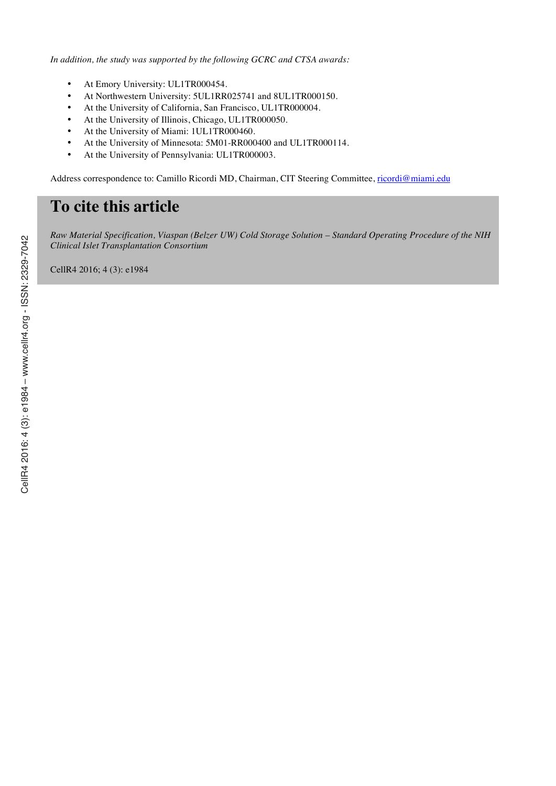*In addition, the study was supported by the following GCRC and CTSA awards:*

- At Emory University: UL1TR000454.
- At Northwestern University: 5UL1RR025741 and 8UL1TR000150.
- At the University of California, San Francisco, UL1TR000004.
- At the University of Illinois, Chicago, UL1TR000050.
- At the University of Miami: 1UL1TR000460.
- At the University of Minnesota: 5M01-RR000400 and UL1TR000114.
- At the University of Pennsylvania: UL1TR000003.

Address correspondence to: Camillo Ricordi MD, Chairman, CIT Steering Committee, ricordi@miami.edu

# **To cite this article**

*Raw Material Specification, Viaspan (Belzer UW) Cold Storage Solution – Standard Operating Procedure of the NIH Clinical Islet Transplantation Consortium*

CellR4 2016; 4 (3): e1984